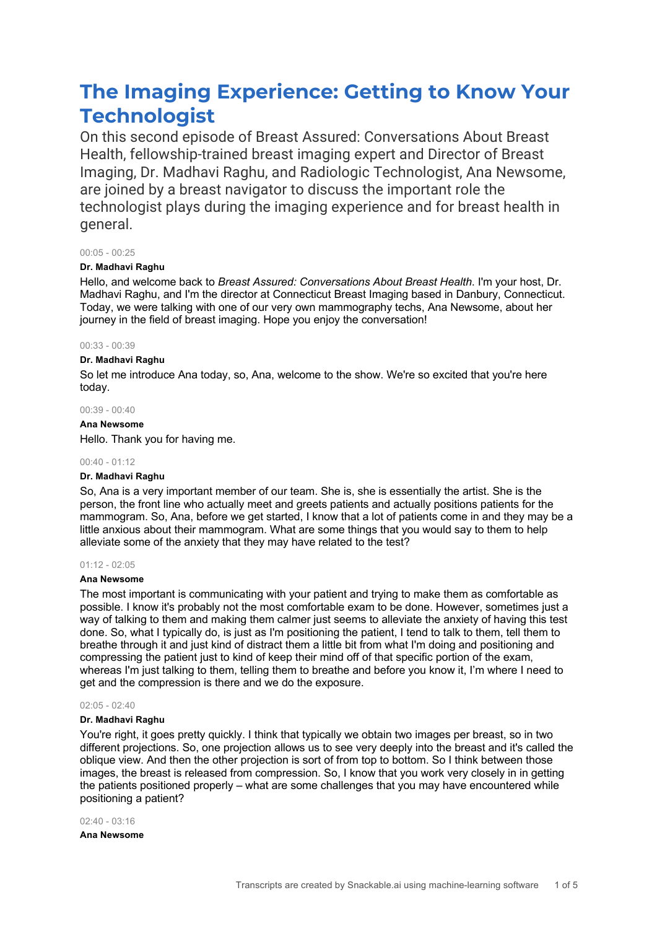# **The Imaging Experience: Getting to Know Your Technologist**

On this second episode of Breast Assured: Conversations About Breast Health, fellowship-trained breast imaging expert and Director of Breast Imaging, Dr. Madhavi Raghu, and Radiologic Technologist, Ana Newsome, are joined by a breast navigator to discuss the important role the technologist plays during the imaging experience and for breast health in general.

# 00:05 - 00:25

# **Dr. Madhavi Raghu**

Hello, and welcome back to *Breast Assured: Conversations About Breast Health*. I'm your host, Dr. Madhavi Raghu, and I'm the director at Connecticut Breast Imaging based in Danbury, Connecticut. Today, we were talking with one of our very own mammography techs, Ana Newsome, about her journey in the field of breast imaging. Hope you enjoy the conversation!

# 00:33 - 00:39

# **Dr. Madhavi Raghu**

So let me introduce Ana today, so, Ana, welcome to the show. We're so excited that you're here today.

# 00:39 - 00:40

**Ana Newsome**

Hello. Thank you for having me.

# 00:40 - 01:12

# **Dr. Madhavi Raghu**

So, Ana is a very important member of our team. She is, she is essentially the artist. She is the person, the front line who actually meet and greets patients and actually positions patients for the mammogram. So, Ana, before we get started, I know that a lot of patients come in and they may be a little anxious about their mammogram. What are some things that you would say to them to help alleviate some of the anxiety that they may have related to the test?

# $01:12 - 02:05$

# **Ana Newsome**

The most important is communicating with your patient and trying to make them as comfortable as possible. I know it's probably not the most comfortable exam to be done. However, sometimes just a way of talking to them and making them calmer just seems to alleviate the anxiety of having this test done. So, what I typically do, is just as I'm positioning the patient, I tend to talk to them, tell them to breathe through it and just kind of distract them a little bit from what I'm doing and positioning and compressing the patient just to kind of keep their mind off of that specific portion of the exam, whereas I'm just talking to them, telling them to breathe and before you know it, I'm where I need to get and the compression is there and we do the exposure.

# 02:05 - 02:40

# **Dr. Madhavi Raghu**

You're right, it goes pretty quickly. I think that typically we obtain two images per breast, so in two different projections. So, one projection allows us to see very deeply into the breast and it's called the oblique view. And then the other projection is sort of from top to bottom. So I think between those images, the breast is released from compression. So, I know that you work very closely in in getting the patients positioned properly – what are some challenges that you may have encountered while positioning a patient?

02:40 - 03:16

**Ana Newsome**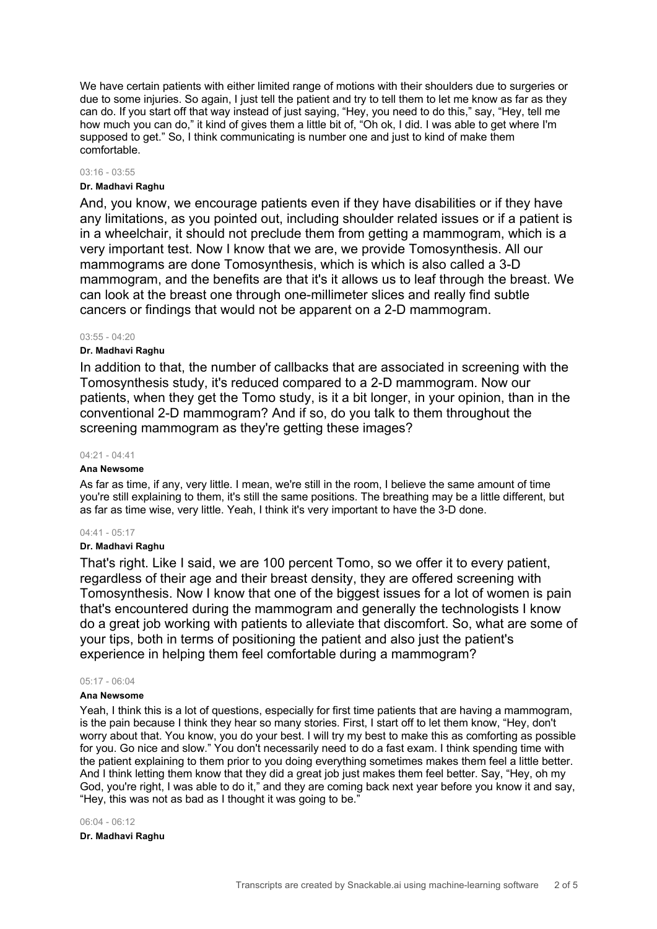We have certain patients with either limited range of motions with their shoulders due to surgeries or due to some injuries. So again, I just tell the patient and try to tell them to let me know as far as they can do. If you start off that way instead of just saying, "Hey, you need to do this," say, "Hey, tell me how much you can do," it kind of gives them a little bit of, "Oh ok, I did. I was able to get where I'm supposed to get." So, I think communicating is number one and just to kind of make them comfortable.

#### 03:16 - 03:55

# **Dr. Madhavi Raghu**

And, you know, we encourage patients even if they have disabilities or if they have any limitations, as you pointed out, including shoulder related issues or if a patient is in a wheelchair, it should not preclude them from getting a mammogram, which is a very important test. Now I know that we are, we provide Tomosynthesis. All our mammograms are done Tomosynthesis, which is which is also called a 3-D mammogram, and the benefits are that it's it allows us to leaf through the breast. We can look at the breast one through one-millimeter slices and really find subtle cancers or findings that would not be apparent on a 2-D mammogram.

# $03.55 - 04.20$

# **Dr. Madhavi Raghu**

In addition to that, the number of callbacks that are associated in screening with the Tomosynthesis study, it's reduced compared to a 2-D mammogram. Now our patients, when they get the Tomo study, is it a bit longer, in your opinion, than in the conventional 2-D mammogram? And if so, do you talk to them throughout the screening mammogram as they're getting these images?

#### 04:21 - 04:41

# **Ana Newsome**

As far as time, if any, very little. I mean, we're still in the room, I believe the same amount of time you're still explaining to them, it's still the same positions. The breathing may be a little different, but as far as time wise, very little. Yeah, I think it's very important to have the 3-D done.

#### 04:41 - 05:17

# **Dr. Madhavi Raghu**

That's right. Like I said, we are 100 percent Tomo, so we offer it to every patient, regardless of their age and their breast density, they are offered screening with Tomosynthesis. Now I know that one of the biggest issues for a lot of women is pain that's encountered during the mammogram and generally the technologists I know do a great job working with patients to alleviate that discomfort. So, what are some of your tips, both in terms of positioning the patient and also just the patient's experience in helping them feel comfortable during a mammogram?

#### 05:17 - 06:04

# **Ana Newsome**

Yeah, I think this is a lot of questions, especially for first time patients that are having a mammogram, is the pain because I think they hear so many stories. First, I start off to let them know, "Hey, don't worry about that. You know, you do your best. I will try my best to make this as comforting as possible for you. Go nice and slow." You don't necessarily need to do a fast exam. I think spending time with the patient explaining to them prior to you doing everything sometimes makes them feel a little better. And I think letting them know that they did a great job just makes them feel better. Say, "Hey, oh my God, you're right, I was able to do it," and they are coming back next year before you know it and say, "Hey, this was not as bad as I thought it was going to be."

#### 06:04 - 06:12

# **Dr. Madhavi Raghu**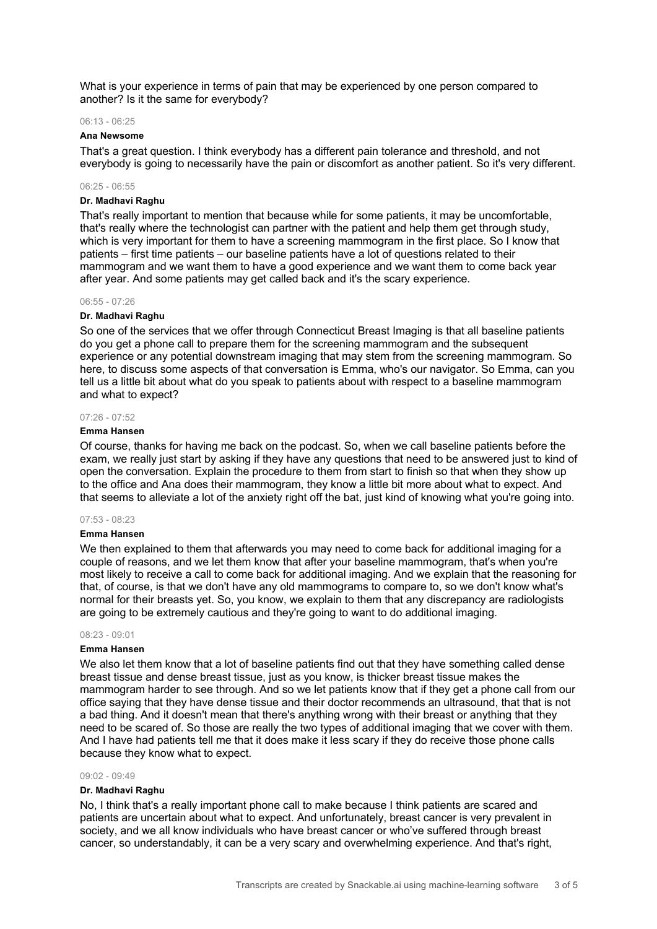What is your experience in terms of pain that may be experienced by one person compared to another? Is it the same for everybody?

# 06:13 - 06:25

# **Ana Newsome**

That's a great question. I think everybody has a different pain tolerance and threshold, and not everybody is going to necessarily have the pain or discomfort as another patient. So it's very different.

# 06:25 - 06:55

# **Dr. Madhavi Raghu**

That's really important to mention that because while for some patients, it may be uncomfortable, that's really where the technologist can partner with the patient and help them get through study, which is very important for them to have a screening mammogram in the first place. So I know that patients – first time patients – our baseline patients have a lot of questions related to their mammogram and we want them to have a good experience and we want them to come back year after year. And some patients may get called back and it's the scary experience.

# 06:55 - 07:26

# **Dr. Madhavi Raghu**

So one of the services that we offer through Connecticut Breast Imaging is that all baseline patients do you get a phone call to prepare them for the screening mammogram and the subsequent experience or any potential downstream imaging that may stem from the screening mammogram. So here, to discuss some aspects of that conversation is Emma, who's our navigator. So Emma, can you tell us a little bit about what do you speak to patients about with respect to a baseline mammogram and what to expect?

# 07:26 - 07:52

#### **Emma Hansen**

Of course, thanks for having me back on the podcast. So, when we call baseline patients before the exam, we really just start by asking if they have any questions that need to be answered just to kind of open the conversation. Explain the procedure to them from start to finish so that when they show up to the office and Ana does their mammogram, they know a little bit more about what to expect. And that seems to alleviate a lot of the anxiety right off the bat, just kind of knowing what you're going into.

## 07:53 - 08:23

# **Emma Hansen**

We then explained to them that afterwards you may need to come back for additional imaging for a couple of reasons, and we let them know that after your baseline mammogram, that's when you're most likely to receive a call to come back for additional imaging. And we explain that the reasoning for that, of course, is that we don't have any old mammograms to compare to, so we don't know what's normal for their breasts yet. So, you know, we explain to them that any discrepancy are radiologists are going to be extremely cautious and they're going to want to do additional imaging.

#### 08:23 - 09:01

#### **Emma Hansen**

We also let them know that a lot of baseline patients find out that they have something called dense breast tissue and dense breast tissue, just as you know, is thicker breast tissue makes the mammogram harder to see through. And so we let patients know that if they get a phone call from our office saying that they have dense tissue and their doctor recommends an ultrasound, that that is not a bad thing. And it doesn't mean that there's anything wrong with their breast or anything that they need to be scared of. So those are really the two types of additional imaging that we cover with them. And I have had patients tell me that it does make it less scary if they do receive those phone calls because they know what to expect.

#### 09:02 - 09:49

# **Dr. Madhavi Raghu**

No, I think that's a really important phone call to make because I think patients are scared and patients are uncertain about what to expect. And unfortunately, breast cancer is very prevalent in society, and we all know individuals who have breast cancer or who've suffered through breast cancer, so understandably, it can be a very scary and overwhelming experience. And that's right,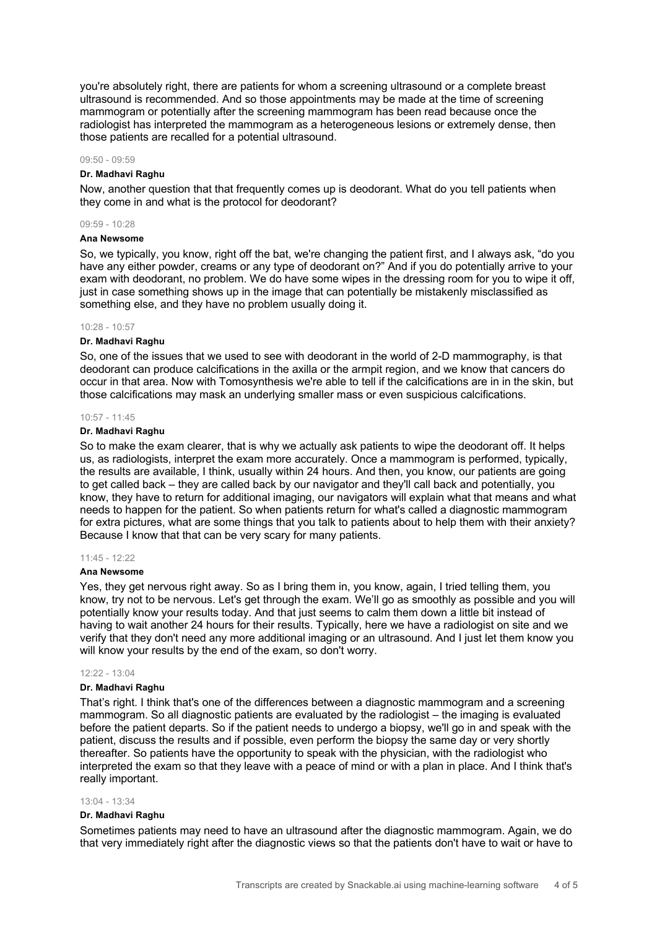you're absolutely right, there are patients for whom a screening ultrasound or a complete breast ultrasound is recommended. And so those appointments may be made at the time of screening mammogram or potentially after the screening mammogram has been read because once the radiologist has interpreted the mammogram as a heterogeneous lesions or extremely dense, then those patients are recalled for a potential ultrasound.

#### 09:50 - 09:59

## **Dr. Madhavi Raghu**

Now, another question that that frequently comes up is deodorant. What do you tell patients when they come in and what is the protocol for deodorant?

# 09:59 - 10:28

# **Ana Newsome**

So, we typically, you know, right off the bat, we're changing the patient first, and I always ask, "do you have any either powder, creams or any type of deodorant on?" And if you do potentially arrive to your exam with deodorant, no problem. We do have some wipes in the dressing room for you to wipe it off, just in case something shows up in the image that can potentially be mistakenly misclassified as something else, and they have no problem usually doing it.

#### 10:28 - 10:57

#### **Dr. Madhavi Raghu**

So, one of the issues that we used to see with deodorant in the world of 2-D mammography, is that deodorant can produce calcifications in the axilla or the armpit region, and we know that cancers do occur in that area. Now with Tomosynthesis we're able to tell if the calcifications are in in the skin, but those calcifications may mask an underlying smaller mass or even suspicious calcifications.

# 10:57 - 11:45

# **Dr. Madhavi Raghu**

So to make the exam clearer, that is why we actually ask patients to wipe the deodorant off. It helps us, as radiologists, interpret the exam more accurately. Once a mammogram is performed, typically, the results are available, I think, usually within 24 hours. And then, you know, our patients are going to get called back – they are called back by our navigator and they'll call back and potentially, you know, they have to return for additional imaging, our navigators will explain what that means and what needs to happen for the patient. So when patients return for what's called a diagnostic mammogram for extra pictures, what are some things that you talk to patients about to help them with their anxiety? Because I know that that can be very scary for many patients.

#### 11:45 - 12:22

# **Ana Newsome**

Yes, they get nervous right away. So as I bring them in, you know, again, I tried telling them, you know, try not to be nervous. Let's get through the exam. We'll go as smoothly as possible and you will potentially know your results today. And that just seems to calm them down a little bit instead of having to wait another 24 hours for their results. Typically, here we have a radiologist on site and we verify that they don't need any more additional imaging or an ultrasound. And I just let them know you will know your results by the end of the exam, so don't worry.

# $12:22 - 13:04$

# **Dr. Madhavi Raghu**

That's right. I think that's one of the differences between a diagnostic mammogram and a screening mammogram. So all diagnostic patients are evaluated by the radiologist – the imaging is evaluated before the patient departs. So if the patient needs to undergo a biopsy, we'll go in and speak with the patient, discuss the results and if possible, even perform the biopsy the same day or very shortly thereafter. So patients have the opportunity to speak with the physician, with the radiologist who interpreted the exam so that they leave with a peace of mind or with a plan in place. And I think that's really important.

## 13:04 - 13:34

# **Dr. Madhavi Raghu**

Sometimes patients may need to have an ultrasound after the diagnostic mammogram. Again, we do that very immediately right after the diagnostic views so that the patients don't have to wait or have to